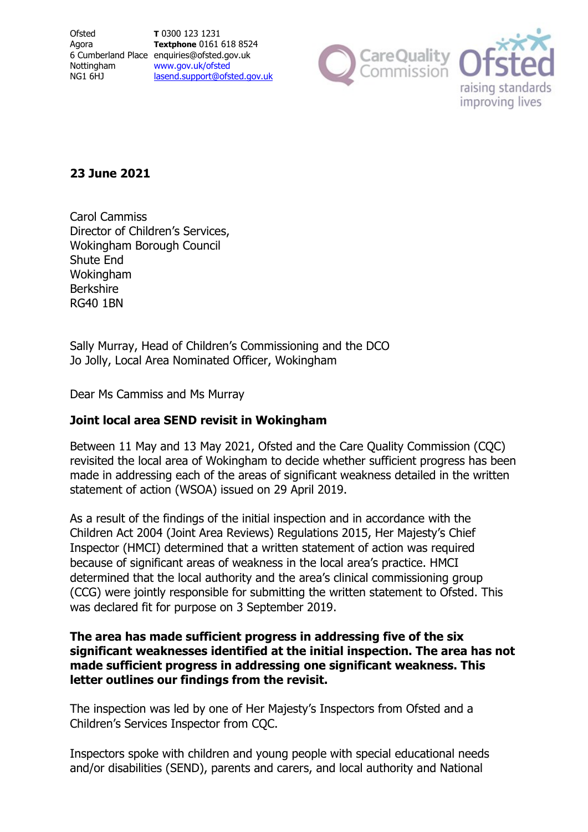**Ofsted** Agora 6 Cumberland Place enquiries@ofsted.gov.uk Nottingham NG1 6HJ

**T** 0300 123 1231 **Textphone** 0161 618 8524 [www.gov.uk/ofsted](http://www.gov.uk/ofsted) [lasend.support@ofsted.gov.uk](mailto:lasend.support@ofsted.gov.ukvvvvv.uk)



# **23 June 2021**

Carol Cammiss Director of Children's Services, Wokingham Borough Council Shute End Wokingham Berkshire RG40 1BN

Sally Murray, Head of Children's Commissioning and the DCO Jo Jolly, Local Area Nominated Officer, Wokingham

Dear Ms Cammiss and Ms Murray

# **Joint local area SEND revisit in Wokingham**

Between 11 May and 13 May 2021, Ofsted and the Care Quality Commission (CQC) revisited the local area of Wokingham to decide whether sufficient progress has been made in addressing each of the areas of significant weakness detailed in the written statement of action (WSOA) issued on 29 April 2019.

As a result of the findings of the initial inspection and in accordance with the Children Act 2004 (Joint Area Reviews) Regulations 2015, Her Majesty's Chief Inspector (HMCI) determined that a written statement of action was required because of significant areas of weakness in the local area's practice. HMCI determined that the local authority and the area's clinical commissioning group (CCG) were jointly responsible for submitting the written statement to Ofsted. This was declared fit for purpose on 3 September 2019.

### **The area has made sufficient progress in addressing five of the six significant weaknesses identified at the initial inspection. The area has not made sufficient progress in addressing one significant weakness. This letter outlines our findings from the revisit.**

The inspection was led by one of Her Majesty's Inspectors from Ofsted and a Children's Services Inspector from CQC.

Inspectors spoke with children and young people with special educational needs and/or disabilities (SEND), parents and carers, and local authority and National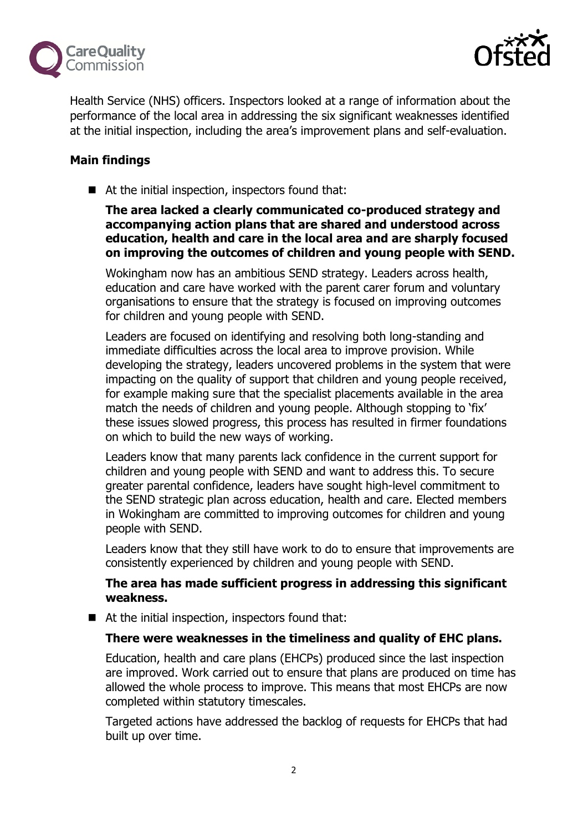



Health Service (NHS) officers. Inspectors looked at a range of information about the performance of the local area in addressing the six significant weaknesses identified at the initial inspection, including the area's improvement plans and self-evaluation.

# **Main findings**

■ At the initial inspection, inspectors found that:

**The area lacked a clearly communicated co-produced strategy and accompanying action plans that are shared and understood across education, health and care in the local area and are sharply focused on improving the outcomes of children and young people with SEND.**

Wokingham now has an ambitious SEND strategy. Leaders across health, education and care have worked with the parent carer forum and voluntary organisations to ensure that the strategy is focused on improving outcomes for children and young people with SEND.

Leaders are focused on identifying and resolving both long-standing and immediate difficulties across the local area to improve provision. While developing the strategy, leaders uncovered problems in the system that were impacting on the quality of support that children and young people received, for example making sure that the specialist placements available in the area match the needs of children and young people. Although stopping to 'fix' these issues slowed progress, this process has resulted in firmer foundations on which to build the new ways of working.

Leaders know that many parents lack confidence in the current support for children and young people with SEND and want to address this. To secure greater parental confidence, leaders have sought high-level commitment to the SEND strategic plan across education, health and care. Elected members in Wokingham are committed to improving outcomes for children and young people with SEND.

Leaders know that they still have work to do to ensure that improvements are consistently experienced by children and young people with SEND.

### **The area has made sufficient progress in addressing this significant weakness.**

■ At the initial inspection, inspectors found that:

#### **There were weaknesses in the timeliness and quality of EHC plans.**

Education, health and care plans (EHCPs) produced since the last inspection are improved. Work carried out to ensure that plans are produced on time has allowed the whole process to improve. This means that most EHCPs are now completed within statutory timescales.

Targeted actions have addressed the backlog of requests for EHCPs that had built up over time.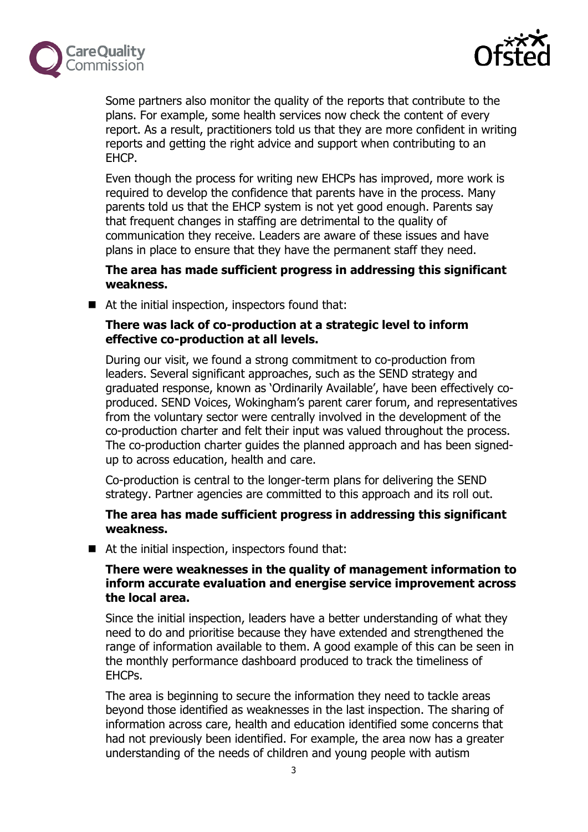



Some partners also monitor the quality of the reports that contribute to the plans. For example, some health services now check the content of every report. As a result, practitioners told us that they are more confident in writing reports and getting the right advice and support when contributing to an EHCP.

Even though the process for writing new EHCPs has improved, more work is required to develop the confidence that parents have in the process. Many parents told us that the EHCP system is not yet good enough. Parents say that frequent changes in staffing are detrimental to the quality of communication they receive. Leaders are aware of these issues and have plans in place to ensure that they have the permanent staff they need.

#### **The area has made sufficient progress in addressing this significant weakness.**

■ At the initial inspection, inspectors found that:

## **There was lack of co-production at a strategic level to inform effective co-production at all levels.**

During our visit, we found a strong commitment to co-production from leaders. Several significant approaches, such as the SEND strategy and graduated response, known as 'Ordinarily Available', have been effectively coproduced. SEND Voices, Wokingham's parent carer forum, and representatives from the voluntary sector were centrally involved in the development of the co-production charter and felt their input was valued throughout the process. The co-production charter guides the planned approach and has been signedup to across education, health and care.

Co-production is central to the longer-term plans for delivering the SEND strategy. Partner agencies are committed to this approach and its roll out.

### **The area has made sufficient progress in addressing this significant weakness.**

■ At the initial inspection, inspectors found that:

### **There were weaknesses in the quality of management information to inform accurate evaluation and energise service improvement across the local area.**

Since the initial inspection, leaders have a better understanding of what they need to do and prioritise because they have extended and strengthened the range of information available to them. A good example of this can be seen in the monthly performance dashboard produced to track the timeliness of EHCPs.

The area is beginning to secure the information they need to tackle areas beyond those identified as weaknesses in the last inspection. The sharing of information across care, health and education identified some concerns that had not previously been identified. For example, the area now has a greater understanding of the needs of children and young people with autism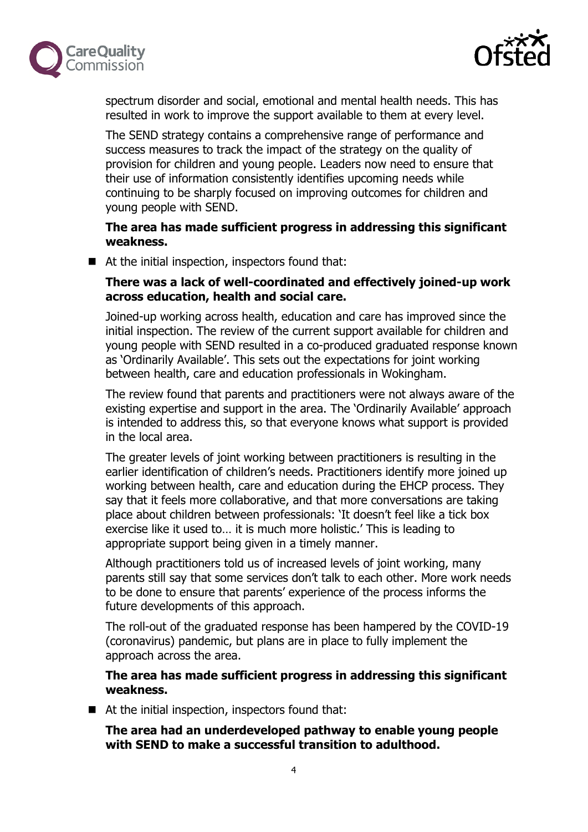



spectrum disorder and social, emotional and mental health needs. This has resulted in work to improve the support available to them at every level.

The SEND strategy contains a comprehensive range of performance and success measures to track the impact of the strategy on the quality of provision for children and young people. Leaders now need to ensure that their use of information consistently identifies upcoming needs while continuing to be sharply focused on improving outcomes for children and young people with SEND.

**The area has made sufficient progress in addressing this significant weakness.**

■ At the initial inspection, inspectors found that:

## **There was a lack of well-coordinated and effectively joined-up work across education, health and social care.**

Joined-up working across health, education and care has improved since the initial inspection. The review of the current support available for children and young people with SEND resulted in a co-produced graduated response known as 'Ordinarily Available'. This sets out the expectations for joint working between health, care and education professionals in Wokingham.

The review found that parents and practitioners were not always aware of the existing expertise and support in the area. The 'Ordinarily Available' approach is intended to address this, so that everyone knows what support is provided in the local area.

The greater levels of joint working between practitioners is resulting in the earlier identification of children's needs. Practitioners identify more joined up working between health, care and education during the EHCP process. They say that it feels more collaborative, and that more conversations are taking place about children between professionals: 'It doesn't feel like a tick box exercise like it used to… it is much more holistic.' This is leading to appropriate support being given in a timely manner.

Although practitioners told us of increased levels of joint working, many parents still say that some services don't talk to each other. More work needs to be done to ensure that parents' experience of the process informs the future developments of this approach.

The roll-out of the graduated response has been hampered by the COVID-19 (coronavirus) pandemic, but plans are in place to fully implement the approach across the area.

### **The area has made sufficient progress in addressing this significant weakness.**

■ At the initial inspection, inspectors found that:

**The area had an underdeveloped pathway to enable young people with SEND to make a successful transition to adulthood.**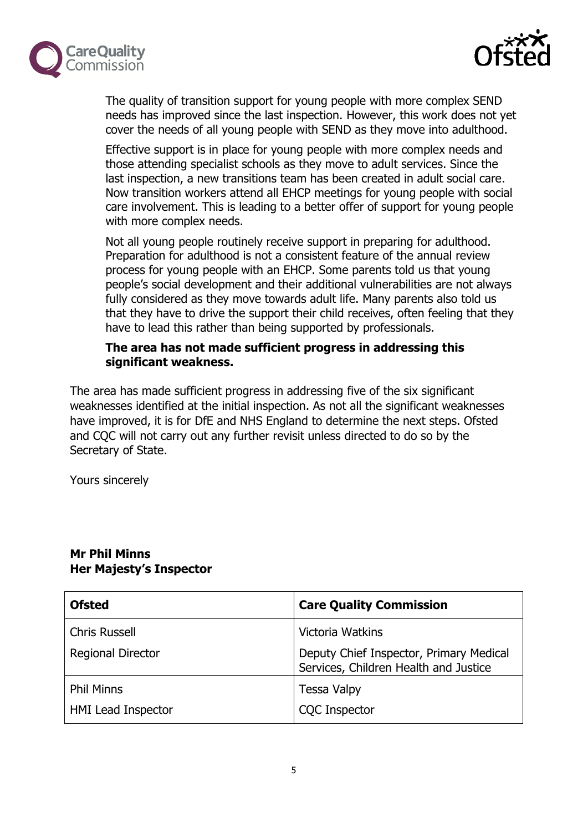



The quality of transition support for young people with more complex SEND needs has improved since the last inspection. However, this work does not yet cover the needs of all young people with SEND as they move into adulthood.

Effective support is in place for young people with more complex needs and those attending specialist schools as they move to adult services. Since the last inspection, a new transitions team has been created in adult social care. Now transition workers attend all EHCP meetings for young people with social care involvement. This is leading to a better offer of support for young people with more complex needs.

Not all young people routinely receive support in preparing for adulthood. Preparation for adulthood is not a consistent feature of the annual review process for young people with an EHCP. Some parents told us that young people's social development and their additional vulnerabilities are not always fully considered as they move towards adult life. Many parents also told us that they have to drive the support their child receives, often feeling that they have to lead this rather than being supported by professionals.

### **The area has not made sufficient progress in addressing this significant weakness.**

The area has made sufficient progress in addressing five of the six significant weaknesses identified at the initial inspection. As not all the significant weaknesses have improved, it is for DfE and NHS England to determine the next steps. Ofsted and CQC will not carry out any further revisit unless directed to do so by the Secretary of State.

Yours sincerely

| <b>Ofsted</b>             | <b>Care Quality Commission</b>                                                   |
|---------------------------|----------------------------------------------------------------------------------|
| <b>Chris Russell</b>      | Victoria Watkins                                                                 |
| <b>Regional Director</b>  | Deputy Chief Inspector, Primary Medical<br>Services, Children Health and Justice |
| <b>Phil Minns</b>         | <b>Tessa Valpy</b>                                                               |
| <b>HMI Lead Inspector</b> | <b>CQC</b> Inspector                                                             |

#### **Mr Phil Minns Her Majesty's Inspector**